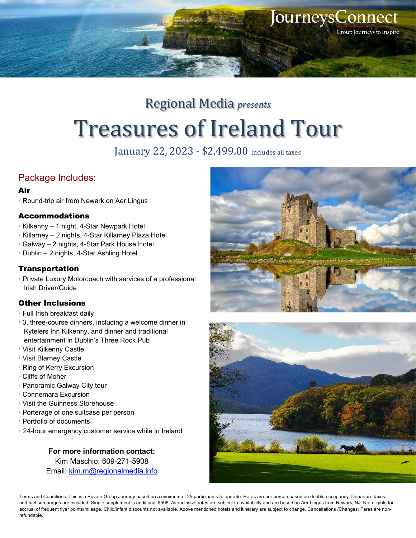

# Regional Media *presents* Treasures of Ireland Tour

January 22, 2023 - \$2,499.00 Includes all taxes

### Package Includes:

#### Air

• Round-trip air from Newark on Aer Lingus

#### Accommodations

- Kilkenny 1 night, 4-Star Newpark Hotel
- Killarney 2 nights, 4-Star Killarney Plaza Hotel
- Galway 2 nights, 4-Star Park House Hotel
- Dublin 2 nights, 4-Star Ashling Hotel

#### **Transportation**

• Private Luxury Motorcoach with services of a professional Irish Driver/Guide

#### Other Inclusions

- Full Irish breakfast daily
- 3, three-course dinners, including a welcome dinner in Kytelers Inn Kilkenny, and dinner and traditional entertainment in Dublin's Three Rock Pub
- Visit Kilkenny Castle
- Visit Blarney Castle
- Ring of Kerry Excursion
- Cliffs of Moher
- Panoramic Galway City tour
- Connemara Excursion
- Visit the Guinness Storehouse
- Porterage of one suitcase per person
- Portfolio of documents
- 24-hour emergency customer service while in Ireland

#### **For more information contact:** Kim Maschio: 609-271-5908 Email: [kim.m@regionalmedia.info](mailto:kim.m@regionalmedia.info)





Terms and Conditions: This is a Private Group Journey based on a minimum of 25 participants to operate. Rates are per person based on double occupancy. Departure taxes and fuel surcharges are included. Single supplement is additional \$598. Air inclusive rates are subject to availability and are based on Aer Lingus from Newark, NJ. Not eligible for accrual of frequent flyer points/mileage. Child/infant discounts not available. Above mentioned hotels and itinerary are subject to change. Cancellations /Changes: Fares are nonrefundable.